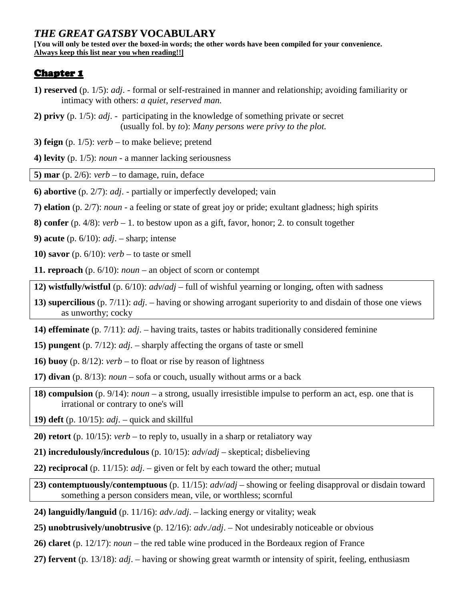# *THE GREAT GATSBY* **VOCABULARY**

**[You will only be tested over the boxed-in words; the other words have been compiled for your convenience. Always keep this list near you when reading!!]** 

### **Chapter 1**

- **1) reserved** (p. 1/5): *adj*. formal or self-restrained in manner and relationship; avoiding familiarity or intimacy with others: *a quiet, reserved man.*
- **2) privy** (p. 1/5): *adj*. participating in the knowledge of something private or secret (usually fol. by *to*): *Many persons were privy to the plot.*

**3) feign** (p. 1/5): *verb* – to make believe; pretend

**4) levity** (p. 1/5): *noun* - a manner lacking seriousness

**5) mar** (p. 2/6): *verb* – to damage, ruin, deface

- **6) abortive** (p. 2/7): *adj*. partially or imperfectly developed; vain
- **7) elation** (p. 2/7): *noun* a feeling or state of great joy or pride; exultant gladness; high spirits
- **8) confer** (p. 4/8): *verb* 1. to bestow upon as a gift, favor, honor; 2. to consult together

**9) acute** (p. 6/10): *adj*. – sharp; intense

**10) savor** (p. 6/10): *verb* – to taste or smell

**11. reproach** (p. 6/10): *noun* – an object of scorn or contempt

- **12) wistfully/wistful** (p. 6/10): *adv*/*adj* full of wishful yearning or longing, often with sadness
- **13) supercilious** (p. 7/11): *adj*. having or showing arrogant superiority to and disdain of those one views as unworthy; cocky
- **14) effeminate** (p. 7/11): *adj*. having traits, tastes or habits traditionally considered feminine
- **15) pungent** (p. 7/12): *adj*. sharply affecting the organs of taste or smell
- **16) buoy** (p. 8/12): *verb* to float or rise by reason of lightness
- **17) divan** (p. 8/13): *noun* sofa or couch, usually without arms or a back
- **18) compulsion** (p. 9/14): *noun* a strong, usually irresistible impulse to perform an act, esp. one that is irrational or contrary to one's will

**19) deft** (p. 10/15): *adj*. – quick and skillful

**20) retort** (p. 10/15): *verb* – to reply to, usually in a sharp or retaliatory way

**21) incredulously/incredulous** (p. 10/15): *adv*/*adj* – skeptical; disbelieving

**22) reciprocal** (p. 11/15): *adj*. – given or felt by each toward the other; mutual

**23) contemptuously/contemptuous** (p. 11/15): *adv*/*adj* – showing or feeling disapproval or disdain toward something a person considers mean, vile, or worthless; scornful

- **24) languidly/languid** (p. 11/16): *adv*./*adj*. lacking energy or vitality; weak
- **25) unobtrusively/unobtrusive** (p. 12/16): *adv*./*adj*. Not undesirably noticeable or obvious
- **26) claret** (p. 12/17): *noun* the red table wine produced in the Bordeaux region of France
- **27) fervent** (p. 13/18): *adj*. having or showing great warmth or intensity of spirit, feeling, enthusiasm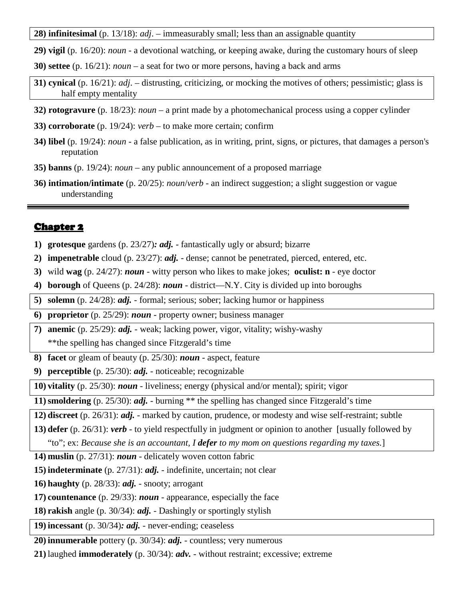**28) infinitesimal** (p. 13/18): *adj*. – immeasurably small; less than an assignable quantity

- **29) vigil** (p. 16/20): *noun* a devotional watching, or keeping awake, during the customary hours of sleep
- **30) settee** (p. 16/21): *noun* a seat for two or more persons, having a back and arms
- **31) cynical** (p. 16/21): *adj*. distrusting, criticizing, or mocking the motives of others; pessimistic; glass is half empty mentality
- **32) rotogravure** (p. 18/23): *noun* a print made by a photomechanical process using a copper cylinder
- **33) corroborate** (p. 19/24): *verb* to make more certain; confirm
- **34) libel** (p. 19/24): *noun* a false publication, as in writing, print, signs, or pictures, that damages a person's reputation
- **35) banns** (p. 19/24): *noun* any public announcement of a proposed marriage
- **36) intimation/intimate** (p. 20/25): *noun*/*verb* an indirect suggestion; a slight suggestion or vague understanding

### <u>Chapter 2</u>

- **1) grotesque** gardens (p. 23/27)*: adj.* fantastically ugly or absurd; bizarre
- **2) impenetrable** cloud (p. 23/27): *adj.* dense; cannot be penetrated, pierced, entered, etc.
- **3)** wild **wag** (p. 24/27): *noun* witty person who likes to make jokes; **oculist: n** eye doctor
- **4) borough** of Queens (p. 24/28): *noun* district—N.Y. City is divided up into boroughs
- **5) solemn** (p. 24/28): *adj.* formal; serious; sober; lacking humor or happiness

**6) proprietor** (p. 25/29): *noun* - property owner; business manager

- **7) anemic** (p. 25/29): *adj.* weak; lacking power, vigor, vitality; wishy-washy
- \*\*the spelling has changed since Fitzgerald's time
- **8) facet** or gleam of beauty (p. 25/30): *noun* aspect, feature
- **9) perceptible** (p. 25/30): *adj.* noticeable; recognizable
- **10) vitality** (p. 25/30): *noun* liveliness; energy (physical and/or mental); spirit; vigor

**11)smoldering** (p. 25/30): *adj.* - burning \*\* the spelling has changed since Fitzgerald's time

- **12) discreet** (p. 26/31): *adj.* marked by caution, prudence, or modesty and wise self-restraint; subtle
- **13) defer** (p. 26/31): *verb* to yield respectfully in judgment or opinion to another [usually followed by

"to"; ex: *Because she is an accountant, I defer to my mom on questions regarding my taxes.*]

- **14) muslin** (p. 27/31): *noun* delicately woven cotton fabric
- **15) indeterminate** (p. 27/31): *adj.* indefinite, uncertain; not clear
- **16) haughty** (p. 28/33): *adj.* snooty; arrogant
- **17) countenance** (p. 29/33): *noun* appearance, especially the face
- **18) rakish** angle (p. 30/34): *adj.* Dashingly or sportingly stylish

**19) incessant** (p. 30/34)*: adj.* - never-ending; ceaseless

- **20) innumerable** pottery (p. 30/34): *adj.* countless; very numerous
- **21)** laughed **immoderately** (p. 30/34): *adv.* without restraint; excessive; extreme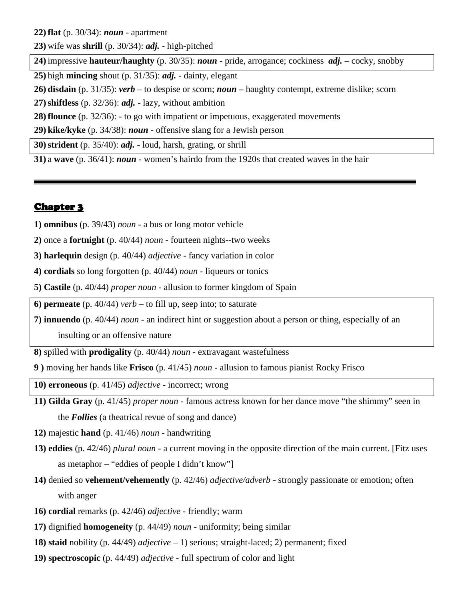**22) flat** (p. 30/34): *noun* - apartment

**23)** wife was **shrill** (p. 30/34): *adj.* - high-pitched

**24)** impressive **hauteur/haughty** (p. 30/35): *noun* - pride, arrogance; cockiness *adj.* – cocky, snobby

**25)** high **mincing** shout (p. 31/35): *adj.* - dainty, elegant

**26) disdain** (p. 31/35): *verb* – to despise or scorn; *noun* **–** haughty contempt, extreme dislike; scorn

**27)shiftless** (p. 32/36): *adj.* - lazy, without ambition

**28) flounce** (p. 32/36): - to go with impatient or impetuous, exaggerated movements

**29) kike/kyke** (p. 34/38): *noun* - offensive slang for a Jewish person

**30)strident** (p. 35/40): *adj.* - loud, harsh, grating, or shrill

**31)** a **wave** (p. 36/41): *noun* - women's hairdo from the 1920s that created waves in the hair

#### Chapter 3

**1) omnibus** (p. 39/43) *noun -* a bus or long motor vehicle

**2)** once a **fortnight** (p. 40/44) *noun -* fourteen nights--two weeks

**3) harlequin** design (p. 40/44) *adjective -* fancy variation in color

**4) cordials** so long forgotten (p. 40/44) *noun -* liqueurs or tonics

**5) Castile** (p. 40/44) *proper noun -* allusion to former kingdom of Spain

**6) permeate** (p. 40/44) *verb –* to fill up, seep into; to saturate

**7) innuendo** (p. 40/44) *noun -* an indirect hint or suggestion about a person or thing, especially of an insulting or an offensive nature

**8)** spilled with **prodigality** (p. 40/44) *noun -* extravagant wastefulness

**9 )** moving her hands like **Frisco** (p. 41/45) *noun -* allusion to famous pianist Rocky Frisco

**10) erroneous** (p. 41/45) *adjective -* incorrect; wrong

**11) Gilda Gray** (p. 41/45) *proper noun -* famous actress known for her dance move "the shimmy" seen in the *Follies* (a theatrical revue of song and dance)

**12)** majestic **hand** (p. 41/46) *noun -* handwriting

- **13) eddies** (p. 42/46) *plural noun -* a current moving in the opposite direction of the main current. [Fitz uses as metaphor – "eddies of people I didn't know"]
- **14)** denied so **vehement/vehemently** (p. 42/46) *adjective/adverb -* strongly passionate or emotion; often with anger
- **16) cordial** remarks (p. 42/46) *adjective* friendly; warm
- **17)** dignified **homogeneity** (p. 44/49) *noun* uniformity; being similar
- **18) staid** nobility (p. 44/49) *adjective* 1) serious; straight-laced; 2) permanent; fixed
- **19) spectroscopic** (p. 44/49) *adjective* full spectrum of color and light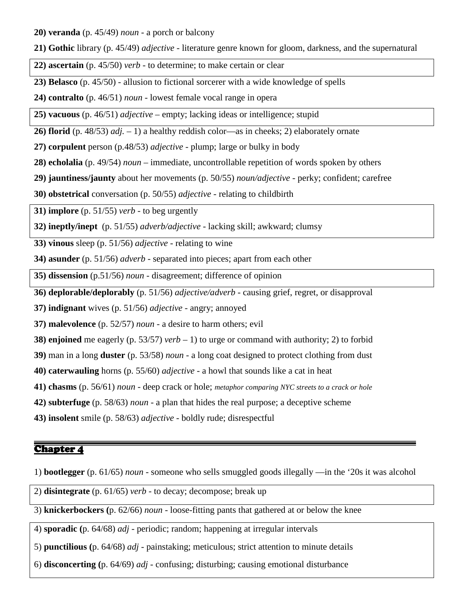**20) veranda** (p. 45/49) *noun* - a porch or balcony

- **21) Gothic** library (p. 45/49) *adjective* literature genre known for gloom, darkness, and the supernatural
- **22) ascertain** (p. 45/50) *verb* to determine; to make certain or clear
- **23) Belasco** (p. 45/50)allusion to fictional sorcerer with a wide knowledge of spells

**24) contralto** (p. 46/51) *noun -* lowest female vocal range in opera

**25) vacuous** (p. 46/51) *adjective –* empty; lacking ideas or intelligence; stupid

**26) florid** (p. 48/53) *adj. –* 1) a healthy reddish color—as in cheeks; 2) elaborately ornate

- **27) corpulent** person (p.48/53) *adjective* plump; large or bulky in body
- **28) echolalia** (p. 49/54) *noun –* immediate, uncontrollable repetition of words spoken by others
- **29) jauntiness/jaunty** about her movements (p. 50/55) *noun/adjective* perky; confident; carefree
- **30) obstetrical** conversation (p. 50/55) *adjective* relating to childbirth

**31) implore** (p. 51/55) *verb -* to beg urgently

**32) ineptly/inept** (p. 51/55) *adverb/adjective* - lacking skill; awkward; clumsy

**33) vinous** sleep (p. 51/56) *adjective* - relating to wine

**34) asunder** (p. 51/56) *adverb -* separated into pieces; apart from each other

**35) dissension** (p.51/56) *noun -* disagreement; difference of opinion

**36) deplorable/deplorably** (p. 51/56) *adjective/adverb -* causing grief, regret, or disapproval

**37) indignant** wives (p. 51/56) *adjective -* angry; annoyed

**37) malevolence** (p. 52/57) *noun -* a desire to harm others; evil

- **38) enjoined** me eagerly (p. 53/57) *verb* 1) to urge or command with authority; 2) to forbid
- **39)** man in a long **duster** (p. 53/58) *noun* a long coat designed to protect clothing from dust
- **40) caterwauling** horns (p. 55/60) *adjective* a howl that sounds like a cat in heat
- **41) chasms** (p. 56/61) *noun -* deep crack or hole; *metaphor comparing NYC streets to a crack or hole*
- **42) subterfuge** (p. 58/63) *noun -* a plan that hides the real purpose; a deceptive scheme
- **43) insolent** smile (p. 58/63) *adjective* boldly rude; disrespectful

# Chapter 4

1) **bootlegger** (p. 61/65) *noun* - someone who sells smuggled goods illegally —in the '20s it was alcohol

2) **disintegrate** (p. 61/65) *verb* - to decay; decompose; break up

3) **knickerbockers (**p. 62/66) *noun* - loose-fitting pants that gathered at or below the knee

4) **sporadic (**p. 64/68) *adj* - periodic; random; happening at irregular intervals

- 5) **punctilious (**p. 64/68) *adj* painstaking; meticulous; strict attention to minute details
- 6) **disconcerting (**p. 64/69) *adj* confusing; disturbing; causing emotional disturbance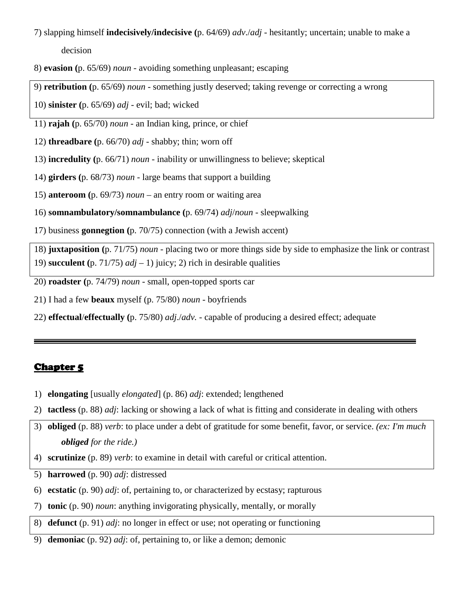# 7) slapping himself **indecisively/indecisive (**p. 64/69) *adv*./*adj* - hesitantly; uncertain; unable to make a decision

- 8) **evasion (**p. 65/69) *noun* avoiding something unpleasant; escaping
- 9) **retribution (**p. 65/69) *noun* something justly deserved; taking revenge or correcting a wrong
- 10) **sinister (**p. 65/69) *adj* evil; bad; wicked
- 11) **rajah (**p. 65/70) *noun* an Indian king, prince, or chief
- 12) **threadbare (**p. 66/70) *adj* shabby; thin; worn off
- 13) **incredulity (**p. 66/71) *noun* inability or unwillingness to believe; skeptical
- 14) **girders (**p. 68/73) *noun* large beams that support a building
- 15) **anteroom (**p. 69/73) *noun* an entry room or waiting area
- 16) **somnambulatory/somnambulance (**p. 69/74) *adj*/*noun* sleepwalking
- 17) business **gonnegtion (**p. 70/75) connection (with a Jewish accent)

18) **juxtaposition (**p. 71/75) *noun* - placing two or more things side by side to emphasize the link or contrast 19) **succulent** (p. 71/75)  $adj - 1$ ) juicy; 2) rich in desirable qualities

- 20) **roadster (**p. 74/79) *noun* small, open-topped sports car
- 21) I had a few **beaux** myself (p. 75/80) *noun* boyfriends
- 22) **effectual**/**effectually (**p. 75/80) *adj*./*adv.* capable of producing a desired effect; adequate

- 1) **elongating** [usually *elongated*] (p. 86) *adj*: extended; lengthened
- 2) **tactless** (p. 88) *adj*: lacking or showing a lack of what is fitting and considerate in dealing with others
- 3) **obliged** (p. 88) *verb*: to place under a debt of gratitude for some benefit, favor, or service. *(ex: I'm much obliged for the ride.)*
- 4) **scrutinize** (p. 89) *verb*: to examine in detail with careful or critical attention.
- 5) **harrowed** (p. 90) *adj*: distressed
- 6) **ecstatic** (p. 90) *adj*: of, pertaining to, or characterized by ecstasy; rapturous
- 7) **tonic** (p. 90) *noun*: anything invigorating physically, mentally, or morally
- 8) **defunct** (p. 91) *adj*: no longer in effect or use; not operating or functioning
- 9) **demoniac** (p. 92) *adj*: of, pertaining to, or like a demon; demonic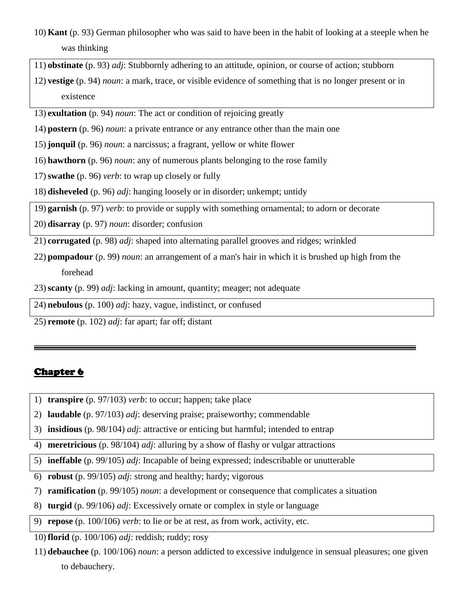- 10) **Kant** (p. 93) German philosopher who was said to have been in the habit of looking at a steeple when he was thinking
- 11) **obstinate** (p. 93) *adj*: Stubbornly adhering to an attitude, opinion, or course of action; stubborn
- 12) **vestige** (p. 94) *noun*: a mark, trace, or visible evidence of something that is no longer present or in existence
- 13) **exultation** (p. 94) *noun*: The act or condition of rejoicing greatly
- 14) **postern** (p. 96) *noun*: a private entrance or any entrance other than the main one
- 15) **jonquil** (p. 96) *noun*: a narcissus; a fragrant, yellow or white flower
- 16) **hawthorn** (p. 96) *noun*: any of numerous plants belonging to the rose family
- 17)**swathe** (p. 96) *verb*: to wrap up closely or fully
- 18) **disheveled** (p. 96) *adj*: hanging loosely or in disorder; unkempt; untidy
- 19) **garnish** (p. 97) *verb*: to provide or supply with something ornamental; to adorn or decorate
- 20) **disarray** (p. 97) *noun*: disorder; confusion
- 21) **corrugated** (p. 98) *adj*: shaped into alternating parallel grooves and ridges; wrinkled
- 22) **pompadour** (p. 99) *noun*: an arrangement of a man's hair in which it is brushed up high from the forehead
- 23)**scanty** (p. 99) *adj*: lacking in amount, quantity; meager; not adequate
- 24) **nebulous** (p. 100) *adj*: hazy, vague, indistinct, or confused
- 25) **remote** (p. 102) *adj*: far apart; far off; distant

- 1) **transpire** (p. 97/103) *verb*: to occur; happen; take place
- 2) **laudable** (p. 97/103) *adj*: deserving praise; praiseworthy; commendable
- 3) **insidious** (p. 98/104) *adj*: attractive or enticing but harmful; intended to entrap
- 4) **meretricious** (p. 98/104) *adj*: alluring by a show of flashy or vulgar attractions
- 5) **ineffable** (p. 99/105) *adj*: Incapable of being expressed; indescribable or unutterable
- 6) **robust** (p. 99/105) *adj*: strong and healthy; hardy; vigorous
- 7) **ramification** (p. 99/105) *noun*: a development or consequence that complicates a situation
- 8) **turgid** (p. 99/106) *adj*: Excessively ornate or complex in style or language
- 9) **repose** (p. 100/106) *verb*: to lie or be at rest, as from work, activity, etc.
- 10) **florid** (p. 100/106) *adj*: reddish; ruddy; rosy
- 11) **debauchee** (p. 100/106) *noun*: a person addicted to excessive indulgence in sensual pleasures; one given to debauchery.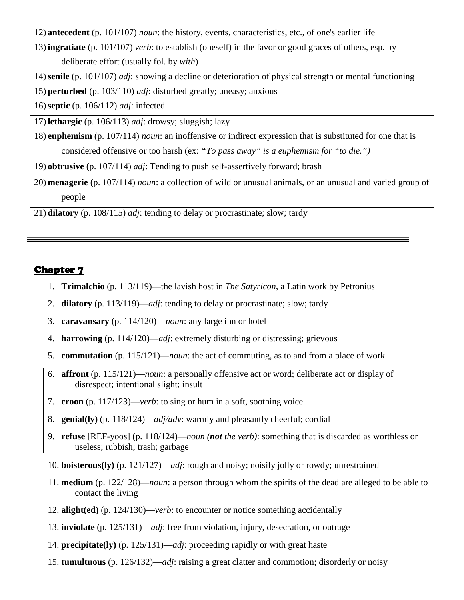- 12) **antecedent** (p. 101/107) *noun*: the history, events, characteristics, etc., of one's earlier life
- 13) **ingratiate** (p. 101/107) *verb*: to establish (oneself) in the favor or good graces of others, esp. by deliberate effort (usually fol. by *with*)
- 14)**senile** (p. 101/107) *adj*: showing a decline or deterioration of physical strength or mental functioning
- 15) **perturbed** (p. 103/110) *adj*: disturbed greatly; uneasy; anxious
- 16)**septic** (p. 106/112) *adj*: infected

17) **lethargic** (p. 106/113) *adj*: drowsy; sluggish; lazy

18) **euphemism** (p. 107/114) *noun*: an inoffensive or indirect expression that is substituted for one that is considered offensive or too harsh (ex: *"To pass away" is a euphemism for "to die.")*

19) **obtrusive** (p. 107/114) *adj*: Tending to push self-assertively forward; brash

20) **menagerie** (p. 107/114) *noun*: a collection of wild or unusual animals, or an unusual and varied group of people

21) **dilatory** (p. 108/115) *adj*: tending to delay or procrastinate; slow; tardy

- 1. **Trimalchio** (p. 113/119)—the lavish host in *The Satyricon*, a Latin work by Petronius
- 2. **dilatory** (p. 113/119)—*adj*: tending to delay or procrastinate; slow; tardy
- 3. **caravansary** (p. 114/120)—*noun*: any large inn or hotel
- 4. **harrowing** (p. 114/120)—*adj*: extremely disturbing or distressing; grievous
- 5. **commutation** (p. 115/121)—*noun*: the act of commuting, as to and from a place of work
- 6. **affront** (p. 115/121)—*noun*: a personally offensive act or word; deliberate act or display of disrespect; intentional slight; insult
- 7. **croon** (p. 117/123)—*verb*: to sing or hum in a soft, soothing voice
- 8. **genial(ly)** (p. 118/124)—*adj/adv*: warmly and pleasantly cheerful; cordial
- 9. **refuse** [REF-yoos] (p. 118/124)—*noun (not the verb)*: something that is discarded as worthless or useless; rubbish; trash; garbage
- 10. **boisterous(ly)** (p. 121/127)—*adj*: rough and noisy; noisily jolly or rowdy; unrestrained
- 11. **medium** (p. 122/128)—*noun*: a person through whom the spirits of the dead are alleged to be able to contact the living
- 12. **alight(ed)** (p. 124/130)—*verb*: to encounter or notice something accidentally
- 13. **inviolate** (p. 125/131)—*adj*: free from violation, injury, desecration, or outrage
- 14. **precipitate(ly)** (p. 125/131)—*adj*: proceeding rapidly or with great haste
- 15. **tumultuous** (p. 126/132)—*adj*: raising a great clatter and commotion; disorderly or noisy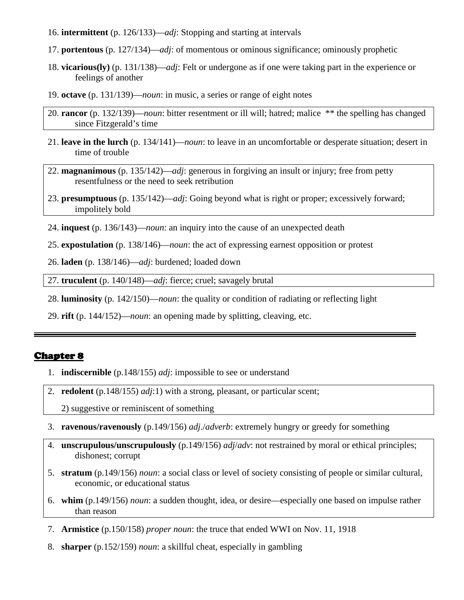- 16. **intermittent** (p. 126/133)—*adj*: Stopping and starting at intervals
- 17. **portentous** (p. 127/134)—*adj*: of momentous or ominous significance; ominously prophetic
- 18. **vicarious(ly)** (p. 131/138)—*adj*: Felt or undergone as if one were taking part in the experience or feelings of another
- 19. **octave** (p. 131/139)—*noun*: in music, a series or range of eight notes
- 20. **rancor** (p. 132/139)—*noun*: bitter resentment or ill will; hatred; malice \*\* the spelling has changed since Fitzgerald's time
- 21. **leave in the lurch** (p. 134/141)—*noun*: to leave in an uncomfortable or desperate situation; desert in time of trouble
- 22. **magnanimous** (p. 135/142)—*adj*: generous in forgiving an insult or injury; free from petty resentfulness or the need to seek retribution
- 23. **presumptuous** (p. 135/142)—*adj*: Going beyond what is right or proper; excessively forward; impolitely bold
- 24. **inquest** (p. 136/143)—*noun*: an inquiry into the cause of an unexpected death
- 25. **expostulation** (p. 138/146)—*noun*: the act of expressing earnest opposition or protest
- 26. **laden** (p. 138/146)—*adj*: burdened; loaded down

27. **truculent** (p. 140/148)—*adj*: fierce; cruel; savagely brutal

- 28. **luminosity** (p. 142/150)—*noun*: the quality or condition of radiating or reflecting light
- 29. **rift** (p. 144/152)—*noun*: an opening made by splitting, cleaving, etc.

- 1. **indiscernible** (p.148/155) *adj*: impossible to see or understand
- 2. **redolent** (p.148/155) *adj*:1) with a strong, pleasant, or particular scent;
	- 2) suggestive or reminiscent of something
- 3. **ravenous/ravenously** (p.149/156) *adj*./*adverb*: extremely hungry or greedy for something
- 4. **unscrupulous/unscrupulously** (p.149/156) *adj*/*adv*: not restrained by moral or ethical principles; dishonest; corrupt
- 5. **stratum** (p.149/156) *noun*: a social class or level of society consisting of people or similar cultural, economic, or educational status
- 6. **whim** (p.149/156) *noun*: a sudden thought, idea, or desire—especially one based on impulse rather than reason
- 7. **Armistice** (p.150/158) *proper noun*: the truce that ended WWI on Nov. 11, 1918
- 8. **sharper** (p.152/159) *noun*: a skillful cheat, especially in gambling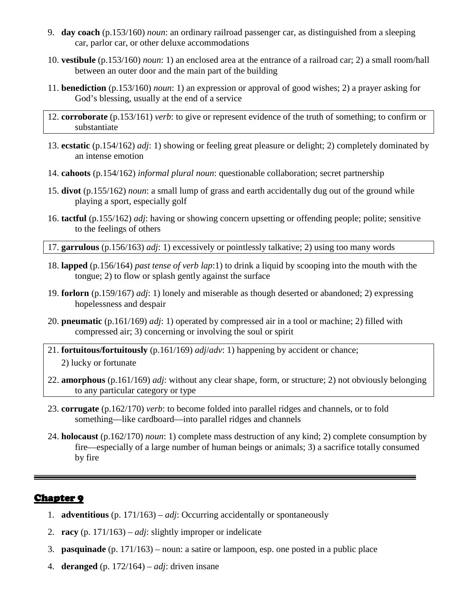- 9. **day coach** (p.153/160) *noun*: an ordinary railroad passenger car, as distinguished from a sleeping car, parlor car, or other deluxe accommodations
- 10. **vestibule** (p.153/160) *noun*: 1) an enclosed area at the entrance of a railroad car; 2) a small room/hall between an outer door and the main part of the building
- 11. **benediction** (p.153/160) *noun*: 1) an expression or approval of good wishes; 2) a prayer asking for God's blessing, usually at the end of a service
- 12. **corroborate** (p.153/161) *verb*: to give or represent evidence of the truth of something; to confirm or substantiate
- 13. **ecstatic** (p.154/162) *adj*: 1) showing or feeling great pleasure or delight; 2) completely dominated by an intense emotion
- 14. **cahoots** (p.154/162) *informal plural noun*: questionable collaboration; secret partnership
- 15. **divot** (p.155/162) *noun*: a small lump of grass and earth accidentally dug out of the ground while playing a sport, especially golf
- 16. **tactful** (p.155/162) *adj*: having or showing concern upsetting or offending people; polite; sensitive to the feelings of others

17. **garrulous** (p.156/163) *adj*: 1) excessively or pointlessly talkative; 2) using too many words

- 18. **lapped** (p.156/164) *past tense of verb lap*:1) to drink a liquid by scooping into the mouth with the tongue; 2) to flow or splash gently against the surface
- 19. **forlorn** (p.159/167) *adj*: 1) lonely and miserable as though deserted or abandoned; 2) expressing hopelessness and despair
- 20. **pneumatic** (p.161/169) *adj*: 1) operated by compressed air in a tool or machine; 2) filled with compressed air; 3) concerning or involving the soul or spirit
- 21. **fortuitous/fortuitously** (p.161/169) *adj*/*adv*: 1) happening by accident or chance; 2) lucky or fortunate
- 22. **amorphous** (p.161/169) *adj*: without any clear shape, form, or structure; 2) not obviously belonging to any particular category or type
- 23. **corrugate** (p.162/170) *verb*: to become folded into parallel ridges and channels, or to fold something—like cardboard—into parallel ridges and channels
- 24. **holocaust** (p.162/170) *noun*: 1) complete mass destruction of any kind; 2) complete consumption by fire—especially of a large number of human beings or animals; 3) a sacrifice totally consumed by fire

- 1. **adventitious** (p. 171/163) *adj*: Occurring accidentally or spontaneously
- 2. **racy** (p. 171/163) *adj*: slightly improper or indelicate
- 3. **pasquinade** (p. 171/163) noun: a satire or lampoon, esp. one posted in a public place
- 4. **deranged** (p. 172/164) *adj*: driven insane